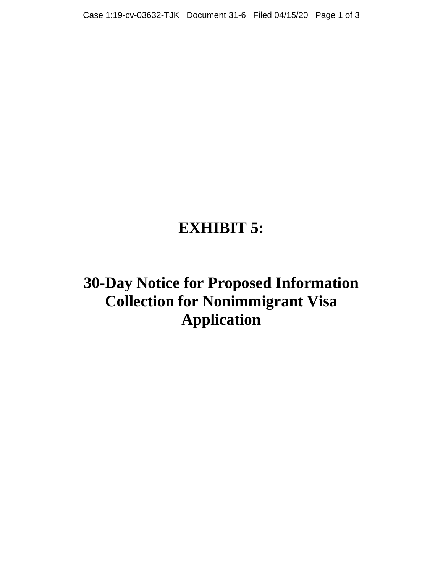# **EXHIBIT 5:**

**30-Day Notice for Proposed Information Collection for Nonimmigrant Visa Application**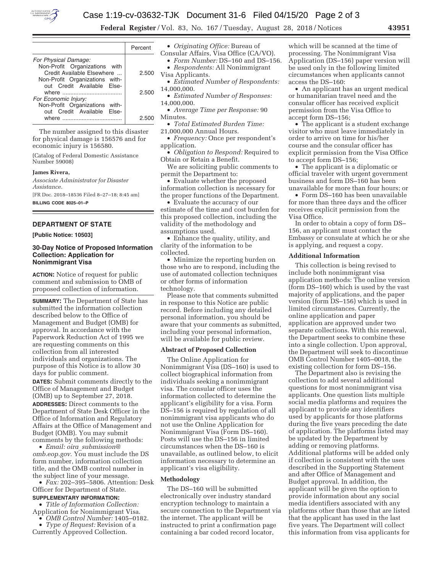

**Federal Register** / Vol. 83, No. 167 / Tuesday, August 28, 2018 / Notices **43951** 

|                                                                                               | Percent |
|-----------------------------------------------------------------------------------------------|---------|
| For Physical Damage:                                                                          |         |
| Non-Profit Organizations with<br>Credit Available Elsewhere<br>Non-Profit Organizations with- | 2.500   |
| out Credit Available Else-                                                                    | 2.500   |
| For Economic Injury:<br>Non-Profit Organizations with-<br>out Credit Available Flse-          |         |
| where<br>.                                                                                    | 25      |

The number assigned to this disaster for physical damage is 156576 and for economic injury is 156580.

(Catalog of Federal Domestic Assistance Number 59008)

**James Rivera,** 

*Associate Administrator for Disaster Assistance.*  [FR Doc. 2018–18536 Filed 8–27–18; 8:45 am]

**BILLING CODE 8025–01–P** 

## **DEPARTMENT OF STATE**

**[Public Notice: 10503]** 

## **30-Day Notice of Proposed Information Collection: Application for Nonimmigrant Visa**

**ACTION:** Notice of request for public comment and submission to OMB of proposed collection of information.

**SUMMARY:** The Department of State has submitted the information collection described below to the Office of Management and Budget (OMB) for approval. In accordance with the Paperwork Reduction Act of 1995 we are requesting comments on this collection from all interested individuals and organizations. The purpose of this Notice is to allow 30 days for public comment.

**DATES:** Submit comments directly to the Office of Management and Budget (OMB) up to September 27, 2018. **ADDRESSES:** Direct comments to the Department of State Desk Officer in the Office of Information and Regulatory Affairs at the Office of Management and Budget (OMB). You may submit comments by the following methods:

• *Email: oira*\_*submission@ omb.eop.gov*. You must include the DS form number, information collection title, and the OMB control number in the subject line of your message.

• *Fax:* 202–395–5806. Attention: Desk Officer for Department of State.

## **SUPPLEMENTARY INFORMATION:**

• *Title of Information Collection:*  Application for Nonimmigrant Visa.

• *OMB Control Number:* 1405–0182.

• *Type of Request:* Revision of a Currently Approved Collection.

• *Originating Office:* Bureau of Consular Affairs, Visa Office (CA/VO).

• *Form Number:* DS–160 and DS–156.

- *Respondents:* All Nonimmigrant Visa Applicants.
- *Estimated Number of Respondents:*  14,000,000.
- *Estimated Number of Responses:*  14,000,000.
- *Average Time per Response:* 90 Minutes.
- *Total Estimated Burden Time:*  21,000,000 Annual Hours.
- *Frequency:* Once per respondent's application.

• *Obligation to Respond:* Required to Obtain or Retain a Benefit.

We are soliciting public comments to permit the Department to:

• Evaluate whether the proposed information collection is necessary for the proper functions of the Department.

• Evaluate the accuracy of our estimate of the time and cost burden for this proposed collection, including the validity of the methodology and assumptions used.

• Enhance the quality, utility, and clarity of the information to be collected.

• Minimize the reporting burden on those who are to respond, including the use of automated collection techniques or other forms of information technology.

Please note that comments submitted in response to this Notice are public record. Before including any detailed personal information, you should be aware that your comments as submitted, including your personal information, will be available for public review.

## **Abstract of Proposed Collection**

The Online Application for Nonimmigrant Visa (DS–160) is used to collect biographical information from individuals seeking a nonimmigrant visa. The consular officer uses the information collected to determine the applicant's eligibility for a visa. Form DS–156 is required by regulation of all nonimmigrant visa applicants who do not use the Online Application for Nonimmigrant Visa (Form DS–160). Posts will use the DS–156 in limited circumstances when the DS–160 is unavailable, as outlined below, to elicit information necessary to determine an applicant's visa eligibility.

#### **Methodology**

The DS–160 will be submitted electronically over industry standard encryption technology to maintain a secure connection to the Department via the internet. The applicant will be instructed to print a confirmation page containing a bar coded record locator,

which will be scanned at the time of processing. The Nonimmigrant Visa Application (DS–156) paper version will be used only in the following limited circumstances when applicants cannot access the DS–160:

• An applicant has an urgent medical or humanitarian travel need and the consular officer has received explicit permission from the Visa Office to accept form DS–156;

• The applicant is a student exchange visitor who must leave immediately in order to arrive on time for his/her course and the consular officer has explicit permission from the Visa Office to accept form DS–156;

• The applicant is a diplomatic or official traveler with urgent government business and form DS–160 has been unavailable for more than four hours; or

• Form DS–160 has been unavailable for more than three days and the officer receives explicit permission from the Visa Office.

In order to obtain a copy of form DS– 156, an applicant must contact the Embassy or consulate at which he or she is applying, and request a copy.

## **Additional Information**

This collection is being revised to include both nonimmigrant visa application methods: The online version (form DS–160) which is used by the vast majority of applications, and the paper version (form DS–156) which is used in limited circumstances. Currently, the online application and paper application are approved under two separate collections. With this renewal, the Department seeks to combine these into a single collection. Upon approval, the Department will seek to discontinue OMB Control Number 1405–0018, the existing collection for form DS–156.

The Department also is revising the collection to add several additional questions for most nonimmigrant visa applicants. One question lists multiple social media platforms and requires the applicant to provide any identifiers used by applicants for those platforms during the five years preceding the date of application. The platforms listed may be updated by the Department by adding or removing platforms. Additional platforms will be added only if collection is consistent with the uses described in the Supporting Statement and after Office of Management and Budget approval. In addition, the applicant will be given the option to provide information about any social media identifiers associated with any platforms other than those that are listed that the applicant has used in the last five years. The Department will collect this information from visa applicants for